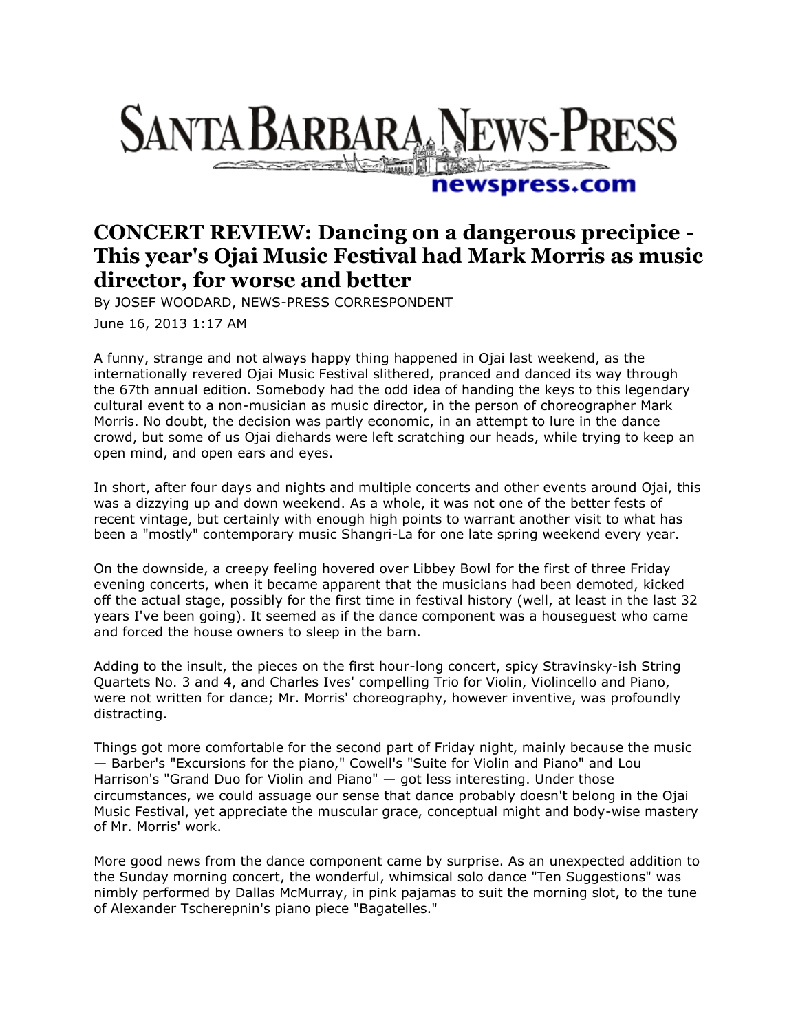## **SANTA BARBARA NEWS-PRESS Comment of Committee of Committee Property**

## newspress.com

## **CONCERT REVIEW: Dancing on a dangerous precipice - This year's Ojai Music Festival had Mark Morris as music director, for worse and better**

By JOSEF WOODARD, NEWS-PRESS CORRESPONDENT

June 16, 2013 1:17 AM

A funny, strange and not always happy thing happened in Ojai last weekend, as the internationally revered Ojai Music Festival slithered, pranced and danced its way through the 67th annual edition. Somebody had the odd idea of handing the keys to this legendary cultural event to a non-musician as music director, in the person of choreographer Mark Morris. No doubt, the decision was partly economic, in an attempt to lure in the dance crowd, but some of us Ojai diehards were left scratching our heads, while trying to keep an open mind, and open ears and eyes.

In short, after four days and nights and multiple concerts and other events around Ojai, this was a dizzying up and down weekend. As a whole, it was not one of the better fests of recent vintage, but certainly with enough high points to warrant another visit to what has been a "mostly" contemporary music Shangri-La for one late spring weekend every year.

On the downside, a creepy feeling hovered over Libbey Bowl for the first of three Friday evening concerts, when it became apparent that the musicians had been demoted, kicked off the actual stage, possibly for the first time in festival history (well, at least in the last 32 years I've been going). It seemed as if the dance component was a houseguest who came and forced the house owners to sleep in the barn.

Adding to the insult, the pieces on the first hour-long concert, spicy Stravinsky-ish String Quartets No. 3 and 4, and Charles Ives' compelling Trio for Violin, Violincello and Piano, were not written for dance; Mr. Morris' choreography, however inventive, was profoundly distracting.

Things got more comfortable for the second part of Friday night, mainly because the music — Barber's "Excursions for the piano," Cowell's "Suite for Violin and Piano" and Lou Harrison's "Grand Duo for Violin and Piano" — got less interesting. Under those circumstances, we could assuage our sense that dance probably doesn't belong in the Ojai Music Festival, yet appreciate the muscular grace, conceptual might and body-wise mastery of Mr. Morris' work.

More good news from the dance component came by surprise. As an unexpected addition to the Sunday morning concert, the wonderful, whimsical solo dance "Ten Suggestions" was nimbly performed by Dallas McMurray, in pink pajamas to suit the morning slot, to the tune of Alexander Tscherepnin's piano piece "Bagatelles."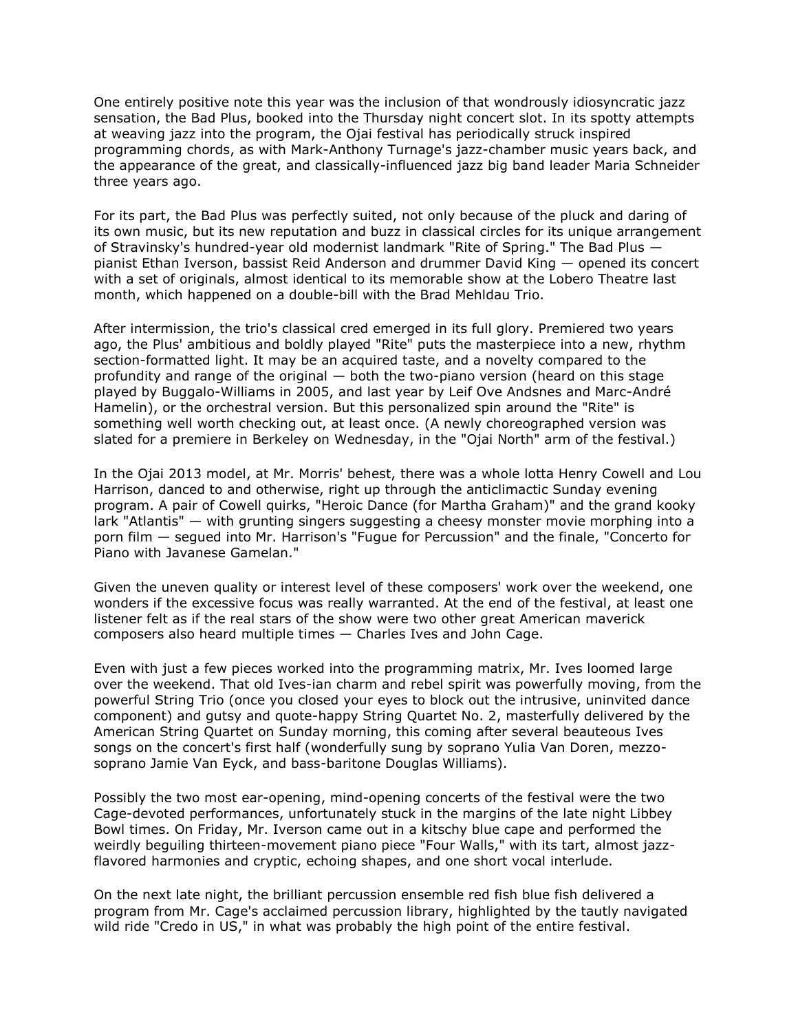One entirely positive note this year was the inclusion of that wondrously idiosyncratic jazz sensation, the Bad Plus, booked into the Thursday night concert slot. In its spotty attempts at weaving jazz into the program, the Ojai festival has periodically struck inspired programming chords, as with Mark-Anthony Turnage's jazz-chamber music years back, and the appearance of the great, and classically-influenced jazz big band leader Maria Schneider three years ago.

For its part, the Bad Plus was perfectly suited, not only because of the pluck and daring of its own music, but its new reputation and buzz in classical circles for its unique arrangement of Stravinsky's hundred-year old modernist landmark "Rite of Spring." The Bad Plus pianist Ethan Iverson, bassist Reid Anderson and drummer David King — opened its concert with a set of originals, almost identical to its memorable show at the Lobero Theatre last month, which happened on a double-bill with the Brad Mehldau Trio.

After intermission, the trio's classical cred emerged in its full glory. Premiered two years ago, the Plus' ambitious and boldly played "Rite" puts the masterpiece into a new, rhythm section-formatted light. It may be an acquired taste, and a novelty compared to the profundity and range of the original — both the two-piano version (heard on this stage played by Buggalo-Williams in 2005, and last year by Leif Ove Andsnes and Marc-André Hamelin), or the orchestral version. But this personalized spin around the "Rite" is something well worth checking out, at least once. (A newly choreographed version was slated for a premiere in Berkeley on Wednesday, in the "Ojai North" arm of the festival.)

In the Ojai 2013 model, at Mr. Morris' behest, there was a whole lotta Henry Cowell and Lou Harrison, danced to and otherwise, right up through the anticlimactic Sunday evening program. A pair of Cowell quirks, "Heroic Dance (for Martha Graham)" and the grand kooky lark "Atlantis" — with grunting singers suggesting a cheesy monster movie morphing into a porn film — segued into Mr. Harrison's "Fugue for Percussion" and the finale, "Concerto for Piano with Javanese Gamelan."

Given the uneven quality or interest level of these composers' work over the weekend, one wonders if the excessive focus was really warranted. At the end of the festival, at least one listener felt as if the real stars of the show were two other great American maverick composers also heard multiple times — Charles Ives and John Cage.

Even with just a few pieces worked into the programming matrix, Mr. Ives loomed large over the weekend. That old Ives-ian charm and rebel spirit was powerfully moving, from the powerful String Trio (once you closed your eyes to block out the intrusive, uninvited dance component) and gutsy and quote-happy String Quartet No. 2, masterfully delivered by the American String Quartet on Sunday morning, this coming after several beauteous Ives songs on the concert's first half (wonderfully sung by soprano Yulia Van Doren, mezzosoprano Jamie Van Eyck, and bass-baritone Douglas Williams).

Possibly the two most ear-opening, mind-opening concerts of the festival were the two Cage-devoted performances, unfortunately stuck in the margins of the late night Libbey Bowl times. On Friday, Mr. Iverson came out in a kitschy blue cape and performed the weirdly beguiling thirteen-movement piano piece "Four Walls," with its tart, almost jazzflavored harmonies and cryptic, echoing shapes, and one short vocal interlude.

On the next late night, the brilliant percussion ensemble red fish blue fish delivered a program from Mr. Cage's acclaimed percussion library, highlighted by the tautly navigated wild ride "Credo in US," in what was probably the high point of the entire festival.